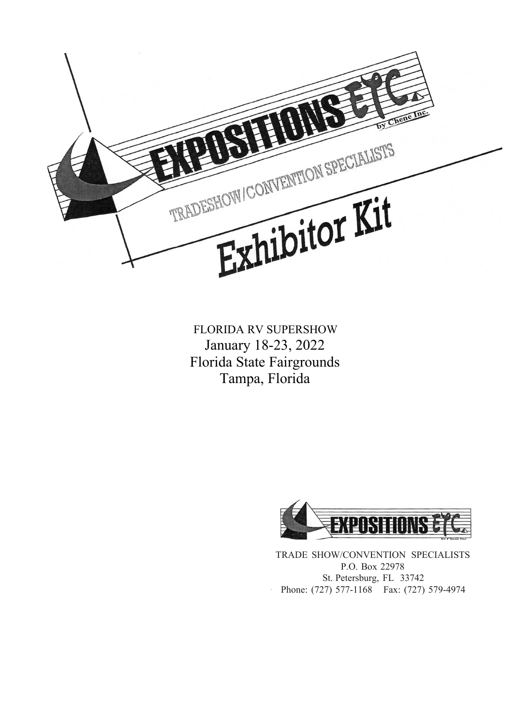

FLORIDA RV SUPERSHOW January 18-23, 2022 Florida State Fairgrounds Tampa, Florida



TRADE SHOW/CONVENTION SPECIALISTS P.O. Box 22978 St. Petersburg, FL 33742 · Phone: (727) 577-1168 Fax: (727) 579-4974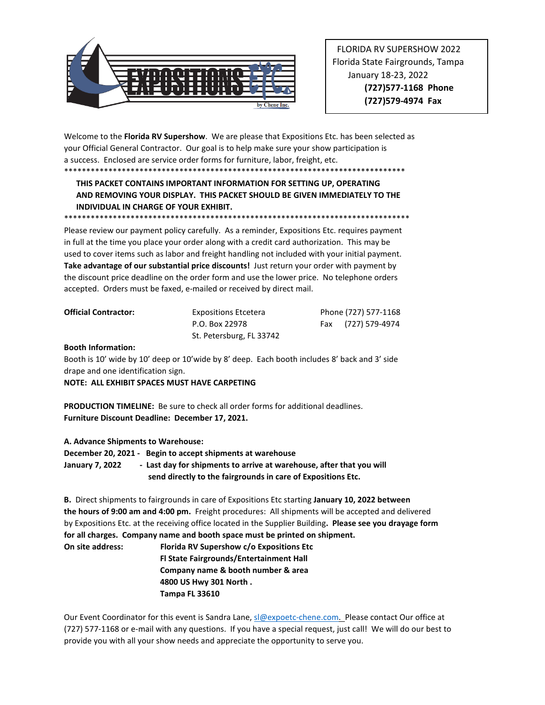

 FLORIDA RV SUPERSHOW 2022 Florida State Fairgrounds, Tampa January 18-23, 2022 **(727)577-1168 Phone (727)579-4974 Fax** 

Welcome to the **Florida RV Supershow**. We are please that Expositions Etc. has been selected as your Official General Contractor. Our goal is to help make sure your show participation is a success. Enclosed are service order forms for furniture, labor, freight, etc. \*\*\*\*\*\*\*\*\*\*\*\*\*\*\*\*\*\*\*\*\*\*\*\*\*\*\*\*\*\*\*\*\*\*\*\*\*\*\*\*\*\*\*\*\*\*\*\*\*\*\*\*\*\*\*\*\*\*\*\*\*\*\*\*\*\*\*\*\*\*\*\*\*\*\*\*\*

#### **THIS PACKET CONTAINS IMPORTANT INFORMATION FOR SETTING UP, OPERATING AND REMOVING YOUR DISPLAY. THIS PACKET SHOULD BE GIVEN IMMEDIATELY TO THE INDIVIDUAL IN CHARGE OF YOUR EXHIBIT.**

Please review our payment policy carefully. As a reminder, Expositions Etc. requires payment in full at the time you place your order along with a credit card authorization. This may be used to cover items such as labor and freight handling not included with your initial payment. **Take advantage of our substantial price discounts!** Just return your order with payment by the discount price deadline on the order form and use the lower price. No telephone orders accepted. Orders must be faxed, e-mailed or received by direct mail.

| <b>Official Contractor:</b> | <b>Expositions Etcetera</b> | Phone (727) 577-1168 |
|-----------------------------|-----------------------------|----------------------|
|                             | P.O. Box 22978              | Fax (727) 579-4974   |
|                             | St. Petersburg, FL 33742    |                      |

#### **Booth Information:**

Booth is 10' wide by 10' deep or 10'wide by 8' deep. Each booth includes 8' back and 3' side drape and one identification sign.

**NOTE: ALL EXHIBIT SPACES MUST HAVE CARPETING**

\*\*\*\*\*\*\*\*\*\*\*\*\*\*\*\*\*\*\*\*\*\*\*\*\*\*\*\*\*\*\*\*\*\*\*\*\*\*\*\*\*\*\*\*\*\*\*\*\*\*\*\*\*\*\*\*\*\*\*\*\*\*\*\*\*\*\*\*\*\*\*\*\*\*\*\*\*\*

**PRODUCTION TIMELINE:** Be sure to check all order forms for additional deadlines. **Furniture Discount Deadline: December 17, 2021.**

**A. Advance Shipments to Warehouse:** 

**December 20, 2021 - Begin to accept shipments at warehouse January 7, 2022 - Last day for shipments to arrive at warehouse, after that you will send directly to the fairgrounds in care of Expositions Etc.** 

**B.** Direct shipments to fairgrounds in care of Expositions Etc starting **January 10, 2022 between the hours of 9:00 am and 4:00 pm.** Freight procedures: All shipments will be accepted and delivered by Expositions Etc. at the receiving office located in the Supplier Building**. Please see you drayage form for all charges. Company name and booth space must be printed on shipment.**

**On site address: Florida RV Supershow c/o Expositions Etc Fl State Fairgrounds/Entertainment Hall Company name & booth number & area 4800 US Hwy 301 North . Tampa FL 33610**

Our Event Coordinator for this event is Sandra Lane[, sl@expoetc-chene.com.](mailto:sl@expoetc-chene.com) Please contact Our office at (727) 577-1168 or e-mail with any questions. If you have a special request, just call! We will do our best to provide you with all your show needs and appreciate the opportunity to serve you.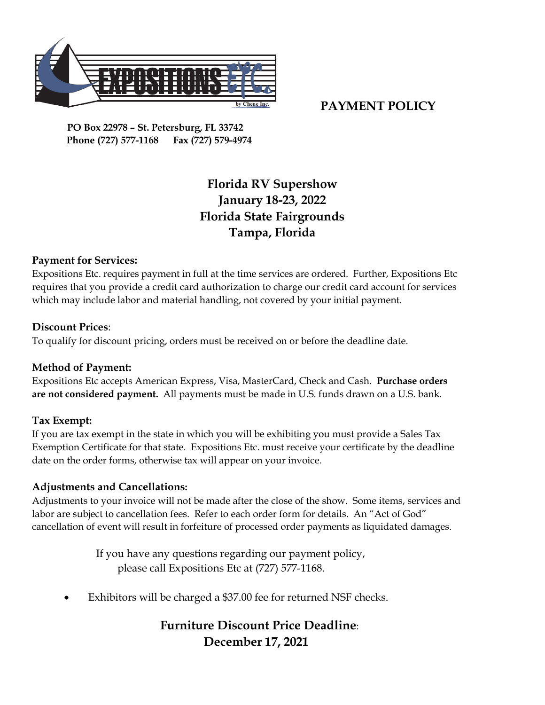

### **PAYMENT POLICY**

 **PO Box 22978 – St. Petersburg, FL 33742 Phone (727) 577-1168 Fax (727) 579-4974**

# **Florida RV Supershow January 18-23, 2022 Florida State Fairgrounds Tampa, Florida**

### **Payment for Services:**

Expositions Etc. requires payment in full at the time services are ordered. Further, Expositions Etc requires that you provide a credit card authorization to charge our credit card account for services which may include labor and material handling, not covered by your initial payment.

#### **Discount Prices**:

To qualify for discount pricing, orders must be received on or before the deadline date.

#### **Method of Payment:**

Expositions Etc accepts American Express, Visa, MasterCard, Check and Cash. **Purchase orders are not considered payment.** All payments must be made in U.S. funds drawn on a U.S. bank.

#### **Tax Exempt:**

If you are tax exempt in the state in which you will be exhibiting you must provide a Sales Tax Exemption Certificate for that state. Expositions Etc. must receive your certificate by the deadline date on the order forms, otherwise tax will appear on your invoice.

#### **Adjustments and Cancellations:**

Adjustments to your invoice will not be made after the close of the show. Some items, services and labor are subject to cancellation fees. Refer to each order form for details. An "Act of God" cancellation of event will result in forfeiture of processed order payments as liquidated damages.

> If you have any questions regarding our payment policy, please call Expositions Etc at (727) 577-1168.

Exhibitors will be charged a \$37.00 fee for returned NSF checks.

## **Furniture Discount Price Deadline**:  **December 17, 2021**